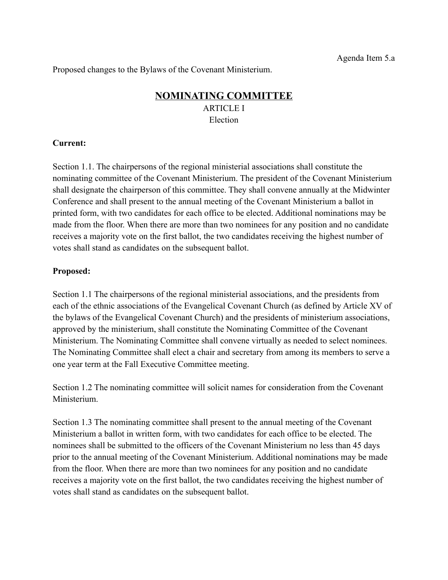Proposed changes to the Bylaws of the Covenant Ministerium.

# **NOMINATING COMMITTEE** ARTICLE I Election

## **Current:**

Section 1.1. The chairpersons of the regional ministerial associations shall constitute the nominating committee of the Covenant Ministerium. The president of the Covenant Ministerium shall designate the chairperson of this committee. They shall convene annually at the Midwinter Conference and shall present to the annual meeting of the Covenant Ministerium a ballot in printed form, with two candidates for each office to be elected. Additional nominations may be made from the floor. When there are more than two nominees for any position and no candidate receives a majority vote on the first ballot, the two candidates receiving the highest number of votes shall stand as candidates on the subsequent ballot.

## **Proposed:**

Section 1.1 The chairpersons of the regional ministerial associations, and the presidents from each of the ethnic associations of the Evangelical Covenant Church (as defined by Article XV of the bylaws of the Evangelical Covenant Church) and the presidents of ministerium associations, approved by the ministerium, shall constitute the Nominating Committee of the Covenant Ministerium. The Nominating Committee shall convene virtually as needed to select nominees. The Nominating Committee shall elect a chair and secretary from among its members to serve a one year term at the Fall Executive Committee meeting.

Section 1.2 The nominating committee will solicit names for consideration from the Covenant Ministerium.

Section 1.3 The nominating committee shall present to the annual meeting of the Covenant Ministerium a ballot in written form, with two candidates for each office to be elected. The nominees shall be submitted to the officers of the Covenant Ministerium no less than 45 days prior to the annual meeting of the Covenant Ministerium. Additional nominations may be made from the floor. When there are more than two nominees for any position and no candidate receives a majority vote on the first ballot, the two candidates receiving the highest number of votes shall stand as candidates on the subsequent ballot.